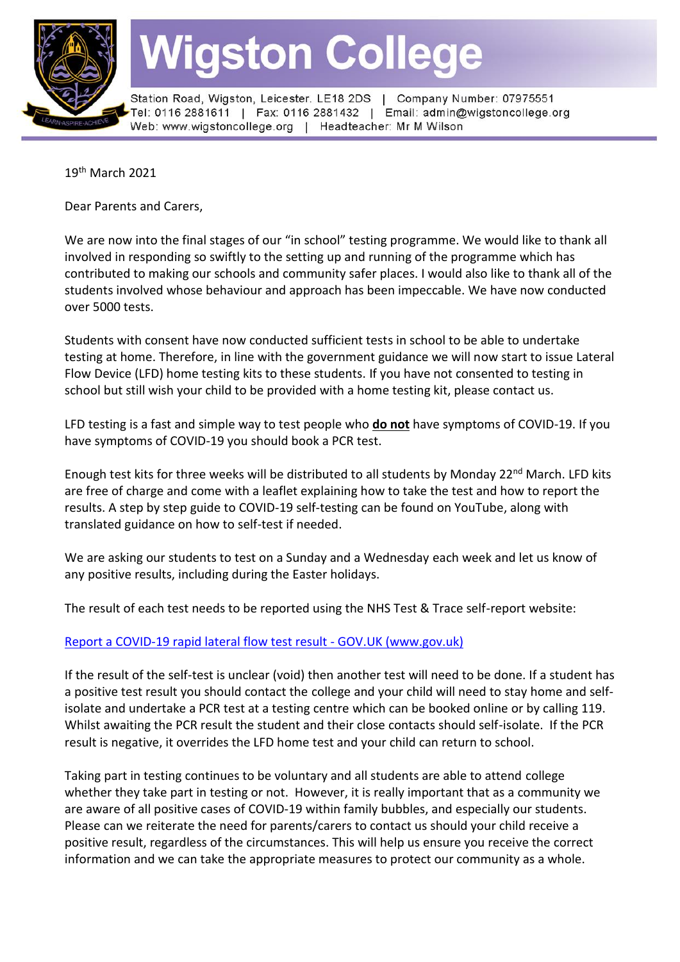

# **Wigston College**

Station Road, Wigston, Leicester. LE18 2DS | Company Number: 07975551 Tel: 0116 2881611 | Fax: 0116 2881432 | Email: admin@wigstoncollege.org Web: www.wigstoncollege.org | Headteacher: Mr M Wilson

19<sup>th</sup> March 2021

Dear Parents and Carers,

We are now into the final stages of our "in school" testing programme. We would like to thank all involved in responding so swiftly to the setting up and running of the programme which has contributed to making our schools and community safer places. I would also like to thank all of the students involved whose behaviour and approach has been impeccable. We have now conducted over 5000 tests.

Students with consent have now conducted sufficient tests in school to be able to undertake testing at home. Therefore, in line with the government guidance we will now start to issue Lateral Flow Device (LFD) home testing kits to these students. If you have not consented to testing in school but still wish your child to be provided with a home testing kit, please contact us.

LFD testing is a fast and simple way to test people who **do not** have symptoms of COVID-19. If you have symptoms of COVID-19 you should book a PCR test.

Enough test kits for three weeks will be distributed to all students by Monday 22<sup>nd</sup> March. LFD kits are free of charge and come with a leaflet explaining how to take the test and how to report the results. A step by step guide to COVID-19 self-testing can be found on YouTube, along with translated guidance on how to self-test if needed.

We are asking our students to test on a Sunday and a Wednesday each week and let us know of any positive results, including during the Easter holidays.

The result of each test needs to be reported using the NHS Test & Trace self-report website:

## [Report a COVID-19 rapid lateral flow test result -](https://www.gov.uk/report-covid19-result) GOV.UK (www.gov.uk)

If the result of the self-test is unclear (void) then another test will need to be done. If a student has a positive test result you should contact the college and your child will need to stay home and selfisolate and undertake a PCR test at a testing centre which can be booked online or by calling 119. Whilst awaiting the PCR result the student and their close contacts should self-isolate. If the PCR result is negative, it overrides the LFD home test and your child can return to school.

Taking part in testing continues to be voluntary and all students are able to attend college whether they take part in testing or not. However, it is really important that as a community we are aware of all positive cases of COVID-19 within family bubbles, and especially our students. Please can we reiterate the need for parents/carers to contact us should your child receive a positive result, regardless of the circumstances. This will help us ensure you receive the correct information and we can take the appropriate measures to protect our community as a whole.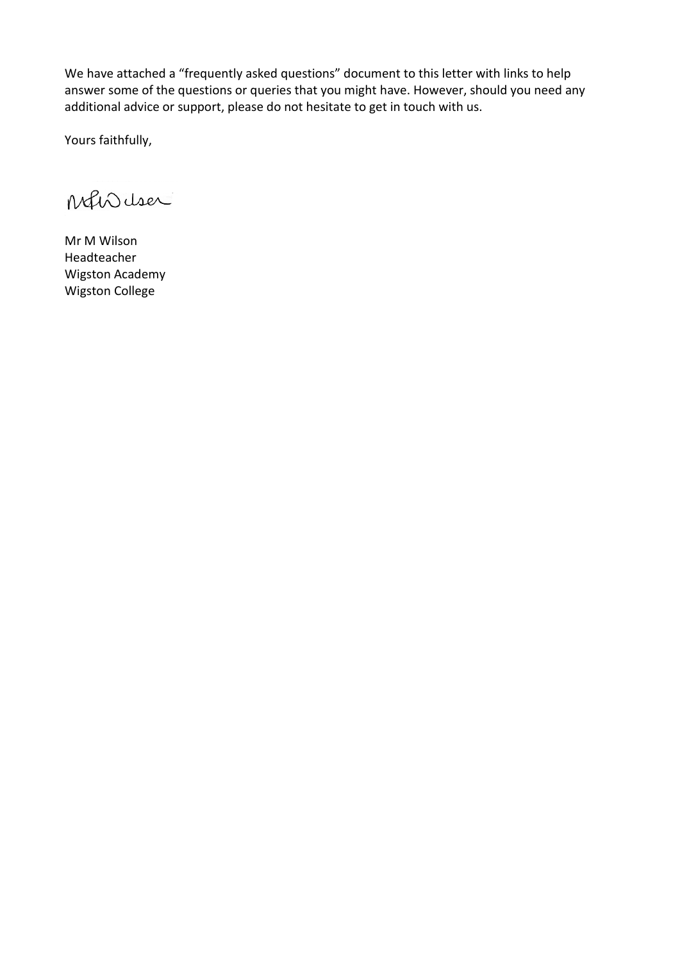We have attached a "frequently asked questions" document to this letter with links to help answer some of the questions or queries that you might have. However, should you need any additional advice or support, please do not hesitate to get in touch with us.

Yours faithfully,

Mhduser

Mr M Wilson Headteacher Wigston Academy Wigston College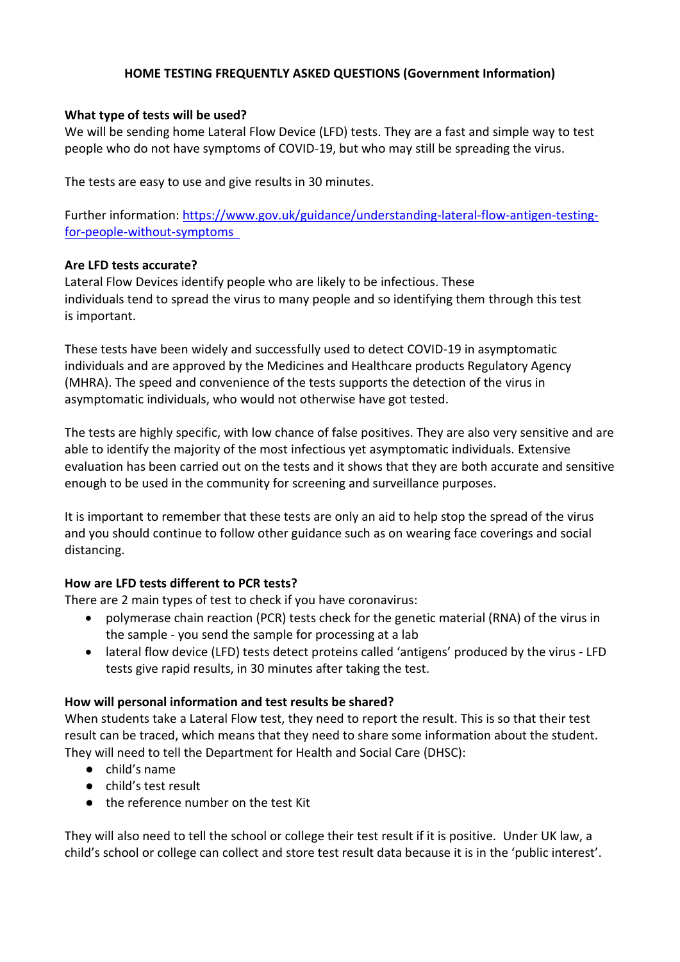## **HOME TESTING FREQUENTLY ASKED QUESTIONS (Government Information)**

#### **What type of tests will be used?**

We will be sending home Lateral Flow Device (LFD) tests. They are a fast and simple way to test people who do not have symptoms of COVID-19, but who may still be spreading the virus. 

The tests are easy to use and give results in 30 minutes. 

Further information: [https://www.gov.uk/guidance/understanding-lateral-flow-antigen-testing](https://www.gov.uk/guidance/understanding-lateral-flow-antigen-testing-for-people-without-symptoms)[for-people-without-symptoms](https://www.gov.uk/guidance/understanding-lateral-flow-antigen-testing-for-people-without-symptoms) 

#### **Are LFD tests accurate?**

Lateral Flow Devices identify people who are likely to be infectious. These  individuals tend to spread the virus to many people and so identifying them through this test is important. 

These tests have been widely and successfully used to detect COVID-19 in asymptomatic individuals and are approved by the Medicines and Healthcare products Regulatory Agency (MHRA). The speed and convenience of the tests supports the detection of the virus in asymptomatic individuals, who would not otherwise have got tested.

The tests are highly specific, with low chance of false positives. They are also very sensitive and are able to identify the majority of the most infectious yet asymptomatic individuals. Extensive evaluation has been carried out on the tests and it shows that they are both accurate and sensitive enough to be used in the community for screening and surveillance purposes. 

It is important to remember that these tests are only an aid to help stop the spread of the virus and you should continue to follow other guidance such as on wearing face coverings and social distancing. 

## **How are LFD tests different to PCR tests?**

There are 2 main types of test to check if you have coronavirus:

- polymerase chain reaction (PCR) tests check for the genetic material (RNA) of the virus in the sample - you send the sample for processing at a lab
- lateral flow device (LFD) tests detect proteins called 'antigens' produced by the virus LFD tests give rapid results, in 30 minutes after taking the test.

## **How will personal information and test results be shared?**

When students take a Lateral Flow test, they need to report the result. This is so that their test result can be traced, which means that they need to share some information about the student. They will need to tell the Department for Health and Social Care (DHSC):

- child's name
- child's test result
- the reference number on the test Kit

They will also need to tell the school or college their test result if it is positive. Under UK law, a child's school or college can collect and store test result data because it is in the 'public interest'.